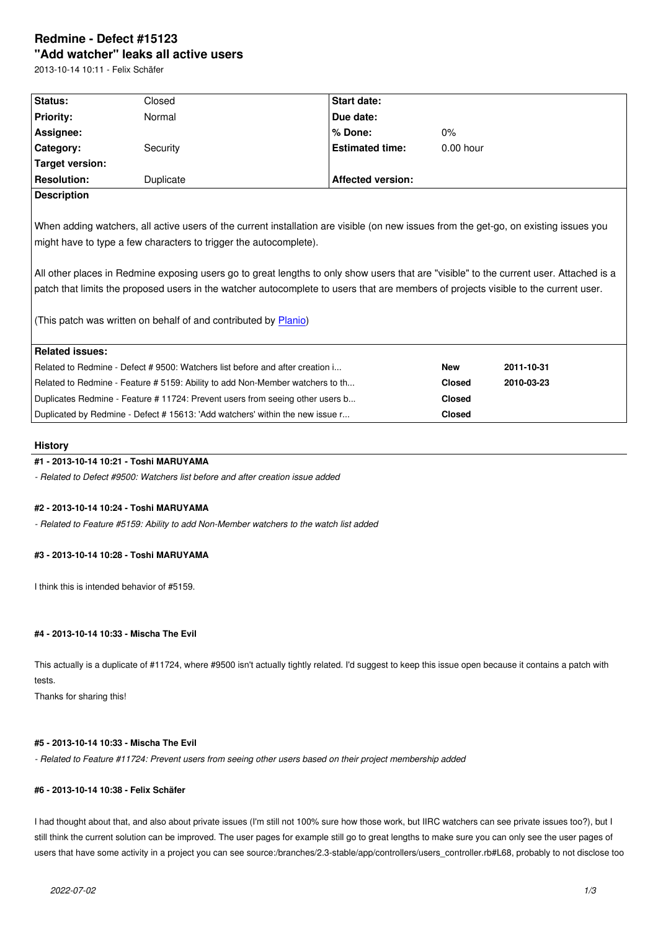#### **"Add watcher" leaks all active users**

2013-10-14 10:11 - Felix Schäfer

| <b>Status:</b>         | Closed                                                            | Start date:              |                                                                                                                                                                                                                                                                                |
|------------------------|-------------------------------------------------------------------|--------------------------|--------------------------------------------------------------------------------------------------------------------------------------------------------------------------------------------------------------------------------------------------------------------------------|
| <b>Priority:</b>       | Normal                                                            | Due date:                |                                                                                                                                                                                                                                                                                |
| Assignee:              |                                                                   | $%$ Done:                | $0\%$                                                                                                                                                                                                                                                                          |
| Category:              | Security                                                          | <b>Estimated time:</b>   | $0.00$ hour                                                                                                                                                                                                                                                                    |
| <b>Target version:</b> |                                                                   |                          |                                                                                                                                                                                                                                                                                |
| <b>Resolution:</b>     | Duplicate                                                         | <b>Affected version:</b> |                                                                                                                                                                                                                                                                                |
| <b>Description</b>     |                                                                   |                          |                                                                                                                                                                                                                                                                                |
|                        | might have to type a few characters to trigger the autocomplete). |                          | When adding watchers, all active users of the current installation are visible (on new issues from the get-go, on existing issues you                                                                                                                                          |
|                        |                                                                   |                          | All other places in Redmine exposing users go to great lengths to only show users that are "visible" to the current user. Attached is a<br>patch that limits the proposed users in the watcher autocomplete to users that are members of projects visible to the current user. |

(This patch was written on behalf of and contributed by Planio)

| Related issues:                                                               |               |            |
|-------------------------------------------------------------------------------|---------------|------------|
| Related to Redmine - Defect # 9500: Watchers list before and after creation i | <b>New</b>    | 2011-10-31 |
| Related to Redmine - Feature # 5159: Ability to add Non-Member watchers to th | <b>Closed</b> | 2010-03-23 |
| Duplicates Redmine - Feature # 11724: Prevent users from seeing other users b | <b>Closed</b> |            |
| Duplicated by Redmine - Defect # 15613: 'Add watchers' within the new issue r | <b>Closed</b> |            |

# **History**

# **#1 - 2013-10-14 10:21 - Toshi MARUYAMA**

*- Related to Defect #9500: Watchers list before and after creation issue added*

# **#2 - 2013-10-14 10:24 - Toshi MARUYAMA**

*- Related to Feature #5159: Ability to add Non-Member watchers to the watch list added*

# **#3 - 2013-10-14 10:28 - Toshi MARUYAMA**

I think this is intended behavior of #5159.

# **#4 - 2013-10-14 10:33 - Mischa The Evil**

This actually is a duplicate of #11724, where #9500 isn't actually tightly related. I'd suggest to keep this issue open because it contains a patch with tests.

Thanks for sharing this!

# **#5 - 2013-10-14 10:33 - Mischa The Evil**

*- Related to Feature #11724: Prevent users from seeing other users based on their project membership added*

# **#6 - 2013-10-14 10:38 - Felix Schäfer**

I had thought about that, and also about private issues (I'm still not 100% sure how those work, but IIRC watchers can see private issues too?), but I still think the current solution can be improved. The user pages for example still go to great lengths to make sure you can only see the user pages of users that have some activity in a project you can see source:/branches/2.3-stable/app/controllers/users\_controller.rb#L68, probably to not disclose too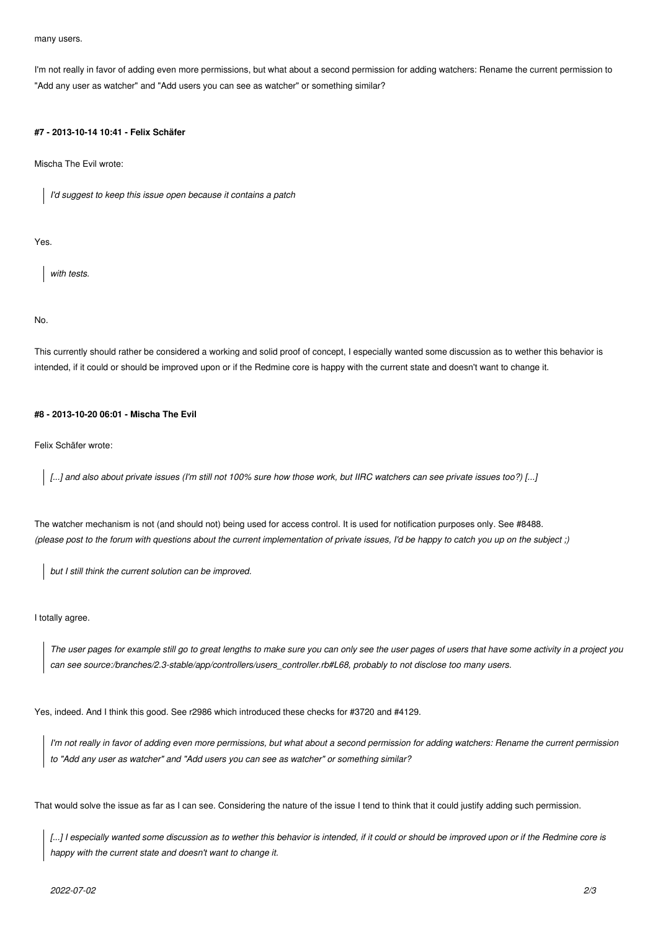many users.

I'm not really in favor of adding even more permissions, but what about a second permission for adding watchers: Rename the current permission to "Add any user as watcher" and "Add users you can see as watcher" or something similar?

#### **#7 - 2013-10-14 10:41 - Felix Schäfer**

Mischa The Evil wrote:

*I'd suggest to keep this issue open because it contains a patch*

Yes.

*with tests.*

No.

This currently should rather be considered a working and solid proof of concept, I especially wanted some discussion as to wether this behavior is intended, if it could or should be improved upon or if the Redmine core is happy with the current state and doesn't want to change it.

#### **#8 - 2013-10-20 06:01 - Mischa The Evil**

Felix Schäfer wrote:

*[...] and also about private issues (I'm still not 100% sure how those work, but IIRC watchers can see private issues too?) [...]*

The watcher mechanism is not (and should not) being used for access control. It is used for notification purposes only. See #8488. *(please post to the forum with questions about the current implementation of private issues, I'd be happy to catch you up on the subject ;)*

*but I still think the current solution can be improved.*

I totally agree.

*The user pages for example still go to great lengths to make sure you can only see the user pages of users that have some activity in a project you can see source:/branches/2.3-stable/app/controllers/users\_controller.rb#L68, probably to not disclose too many users.*

Yes, indeed. And I think this good. See r2986 which introduced these checks for #3720 and #4129.

*I'm not really in favor of adding even more permissions, but what about a second permission for adding watchers: Rename the current permission to "Add any user as watcher" and "Add users you can see as watcher" or something similar?*

That would solve the issue as far as I can see. Considering the nature of the issue I tend to think that it could justify adding such permission.

[...] I especially wanted some discussion as to wether this behavior is intended, if it could or should be improved upon or if the Redmine core is *happy with the current state and doesn't want to change it.*